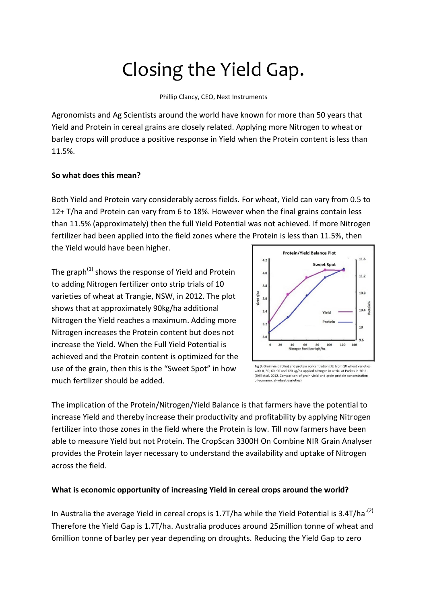# Closing the Yield Gap.

Phillip Clancy, CEO, Next Instruments

Agronomists and Ag Scientists around the world have known for more than 50 years that Yield and Protein in cereal grains are closely related. Applying more Nitrogen to wheat or barley crops will produce a positive response in Yield when the Protein content is less than 11.5%.

## **So what does this mean?**

Both Yield and Protein vary considerably across fields. For wheat, Yield can vary from 0.5 to 12+ T/ha and Protein can vary from 6 to 18%. However when the final grains contain less than 11.5% (approximately) then the full Yield Potential was not achieved. If more Nitrogen fertilizer had been applied into the field zones where the Protein is less than 11.5%, then

the Yield would have been higher.

The graph<sup>(1)</sup> shows the response of Yield and Protein to adding Nitrogen fertilizer onto strip trials of 10 varieties of wheat at Trangie, NSW, in 2012. The plot shows that at approximately 90kg/ha additional Nitrogen the Yield reaches a maximum. Adding more Nitrogen increases the Protein content but does not increase the Yield. When the Full Yield Potential is achieved and the Protein content is optimized for the use of the grain, then this is the "Sweet Spot" in how much fertilizer should be added.



Fig 3. Grain yield (t/ha) and protein concentration (%) from 10 wheat varieties with 0, 30, 60, 90 and 120 kg/ha applied nitrogen in a trial at Parkes in 2011. (Brill et al, 2012, Comparison-of-grain-yield-and-grain-protein-concentrationnercial-wheat-varieties)

The implication of the Protein/Nitrogen/Yield Balance is that farmers have the potential to increase Yield and thereby increase their productivity and profitability by applying Nitrogen fertilizer into those zones in the field where the Protein is low. Till now farmers have been able to measure Yield but not Protein. The CropScan 3300H On Combine NIR Grain Analyser provides the Protein layer necessary to understand the availability and uptake of Nitrogen across the field.

### **What is economic opportunity of increasing Yield in cereal crops around the world?**

In Australia the average Yield in cereal crops is 1.7T/ha while the Yield Potential is 3.4T/ha<sup>(2)</sup> Therefore the Yield Gap is 1.7T/ha. Australia produces around 25million tonne of wheat and 6million tonne of barley per year depending on droughts. Reducing the Yield Gap to zero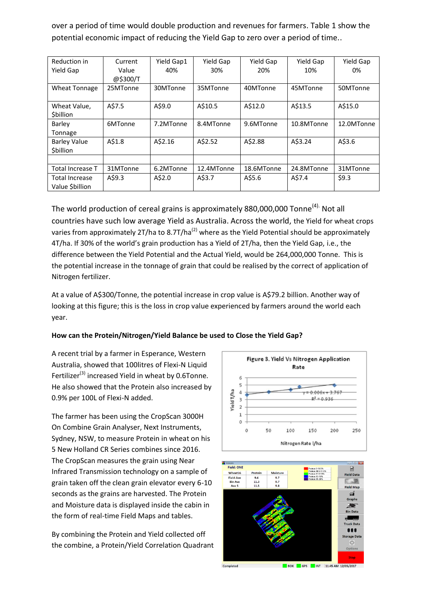over a period of time would double production and revenues for farmers. Table 1 show the potential economic impact of reducing the Yield Gap to zero over a period of time..

| Reduction in            | Current           | Yield Gap1 | Yield Gap  | Yield Gap  | Yield Gap  | Yield Gap  |
|-------------------------|-------------------|------------|------------|------------|------------|------------|
| Yield Gap               | Value<br>@\$300/T | 40%        | 30%        | 20%        | 10%        | 0%         |
|                         |                   | 30MTonne   | 35MTonne   | 40MTonne   | 45MTonne   |            |
| <b>Wheat Tonnage</b>    | 25MTonne          |            |            |            |            | 50MTonne   |
| Wheat Value,            | A\$7.5            | A\$9.0     | A\$10.5    | A\$12.0    | A\$13.5    | A\$15.0    |
| <b>\$billion</b>        |                   |            |            |            |            |            |
| Barley                  | 6MTonne           | 7.2MTonne  | 8.4MTonne  | 9.6MTonne  | 10.8MTonne | 12.0MTonne |
| Tonnage                 |                   |            |            |            |            |            |
| <b>Barley Value</b>     | A\$1.8            | A\$2.16    | A\$2.52    | A\$2.88    | A\$3.24    | A\$3.6     |
| \$billion               |                   |            |            |            |            |            |
|                         |                   |            |            |            |            |            |
| <b>Total Increase T</b> | 31MTonne          | 6.2MTonne  | 12.4MTonne | 18.6MTonne | 24.8MTonne | 31MTonne   |
| <b>Total Increase</b>   | A\$9.3            | A\$2.0     | A\$3.7     | A\$5.6     | A\$7.4     | \$9.3      |
| Value \$billion         |                   |            |            |            |            |            |

The world production of cereal grains is approximately 880,000,000 Tonne<sup>(4).</sup> Not all countries have such low average Yield as Australia. Across the world, the Yield for wheat crops varies from approximately 2T/ha to 8.7T/ha<sup>(2)</sup> where as the Yield Potential should be approximately 4T/ha. If 30% of the world's grain production has a Yield of 2T/ha, then the Yield Gap, i.e., the difference between the Yield Potential and the Actual Yield, would be 264,000,000 Tonne. This is the potential increase in the tonnage of grain that could be realised by the correct of application of Nitrogen fertilizer.

At a value of A\$300/Tonne, the potential increase in crop value is A\$79.2 billion. Another way of looking at this figure; this is the loss in crop value experienced by farmers around the world each year.

#### **How can the Protein/Nitrogen/Yield Balance be used to Close the Yield Gap?**

A recent trial by a farmer in Esperance, Western Australia, showed that 100litres of Flexi-N Liquid Fertilizer<sup>(3)</sup> increased Yield in wheat by 0.6Tonne. He also showed that the Protein also increased by 0.9% per 100L of Flexi-N added.

The farmer has been using the CropScan 3000H On Combine Grain Analyser, Next Instruments, Sydney, NSW, to measure Protein in wheat on his 5 New Holland CR Series combines since 2016. The CropScan measures the grain using Near Infrared Transmission technology on a sample of grain taken off the clean grain elevator every 6-10 seconds as the grains are harvested. The Protein and Moisture data is displayed inside the cabin in the form of real-time Field Maps and tables.

By combining the Protein and Yield collected off the combine, a Protein/Yield Correlation Quadrant



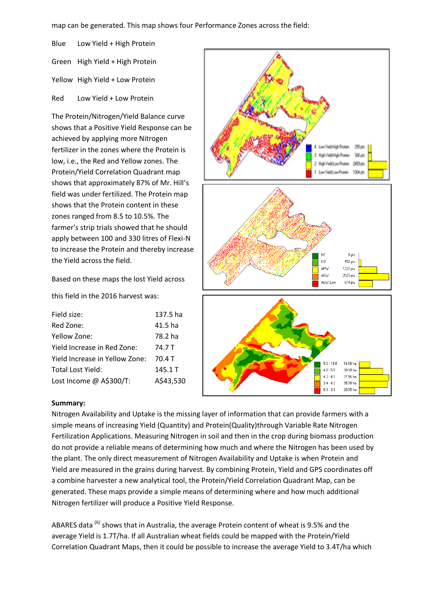map can be generated. This map shows four Performance Zones across the field:

Blue Low Yield + High Protein Green High Yield + High Protein Yellow High Yield + Low Protein Red Low Yield + Low Protein

The Protein/Nitrogen/Yield Balance curve shows that a Positive Yield Response can be achieved by applying more Nitrogen fertilizer in the zones where the Protein is low, i.e., the Red and Yellow zones. The Protein/Yield Correlation Quadrant map shows that approximately 87% of Mr. Hill's field was under fertilized. The Protein map shows that the Protein content in these zones ranged from 8.5 to 10.5%. The farmer's strip trials showed that he should apply between 100 and 330 litres of Flexi-N to increase the Protein and thereby increase the Yield across the field.

w Yield High Protein  $25a$ High Yield High Protein 306 pts High Yield Low Protein 2459 pts Low Yield Low Protein 1304 pts. 8 pts H1  $H<sub>2</sub>$ 152 pts. APW 1227 pts ASW 2023 pts 914 pts ASW Low  $5.2 - 19.8$ 14.06 ha

 $4.8 - 5.1$ 

 $4.3 - 4.7$ 

 $3.4 - 4.2$  $0.3 - 3.3$  30.00 ha

37.56 ha 35.70 ha

20.05 ha

Based on these maps the lost Yield across

this field in the 2016 harvest was:

| Field size:                    | 137.5 ha  |
|--------------------------------|-----------|
| Red Zone:                      | 41.5 ha   |
| Yellow Zone:                   | 78.2 ha   |
| Yield Increase in Red Zone:    | 74.7 T    |
| Yield Increase in Yellow Zone: | 70.4 T    |
| Total Lost Yield:              | 145.1 T   |
| Lost Income @ A\$300/T:        | A\$43,530 |
|                                |           |

#### **Summary:**

Nitrogen Availability and Uptake is the missing layer of information that can provide farmers with a simple means of increasing Yield (Quantity) and Protein(Quality)through Variable Rate Nitrogen Fertilization Applications. Measuring Nitrogen in soil and then in the crop during biomass production do not provide a reliable means of determining how much and where the Nitrogen has been used by the plant. The only direct measurement of Nitrogen Availability and Uptake is when Protein and Yield are measured in the grains during harvest. By combining Protein, Yield and GPS coordinates off a combine harvester a new analytical tool, the Protein/Yield Correlation Quadrant Map, can be generated. These maps provide a simple means of determining where and how much additional Nitrogen fertilizer will produce a Positive Yield Response.

ABARES data  $^{(6)}$  shows that in Australia, the average Protein content of wheat is 9.5% and the average Yield is 1.7T/ha. If all Australian wheat fields could be mapped with the Protein/Yield Correlation Quadrant Maps, then it could be possible to increase the average Yield to 3.4T/ha which